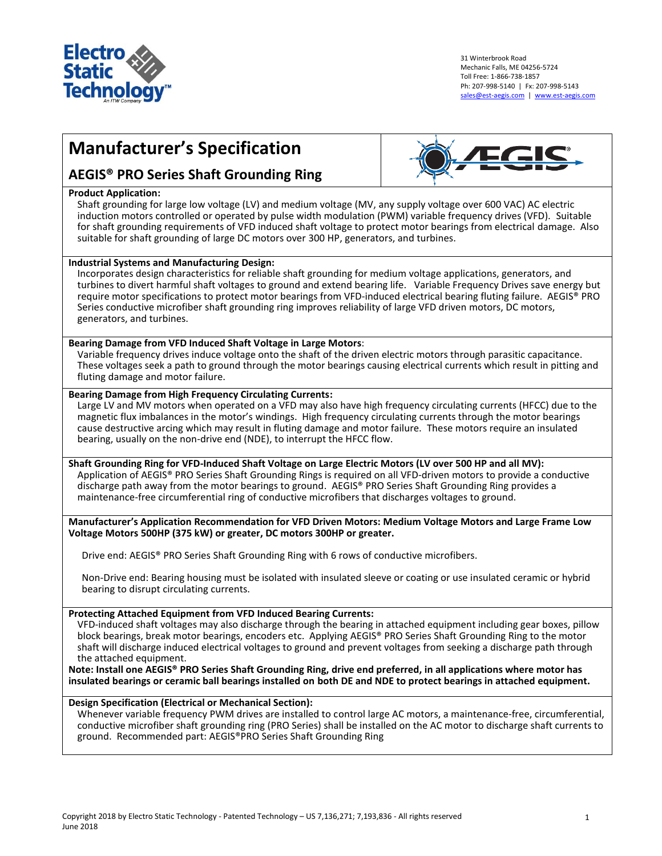

31 Winterbrook Road Mechanic Falls, ME 04256-5724 Toll Free: 1-866-738-1857 Ph: 207-998-5140 | Fx: 207-998-5143 [sales@est-aegis.com](mailto:sales@est-aegis.com) | [www.est-aegis.com](http://www.est-aegis.com/)

# **Manufacturer's Specification**



#### **Product Application:**

Shaft grounding for large low voltage (LV) and medium voltage (MV, any supply voltage over 600 VAC) AC electric induction motors controlled or operated by pulse width modulation (PWM) variable frequency drives (VFD). Suitable for shaft grounding requirements of VFD induced shaft voltage to protect motor bearings from electrical damage. Also suitable for shaft grounding of large DC motors over 300 HP, generators, and turbines.

# **Industrial Systems and Manufacturing Design:**

Incorporates design characteristics for reliable shaft grounding for medium voltage applications, generators, and turbines to divert harmful shaft voltages to ground and extend bearing life. Variable Frequency Drives save energy but require motor specifications to protect motor bearings from VFD-induced electrical bearing fluting failure. AEGIS® PRO Series conductive microfiber shaft grounding ring improves reliability of large VFD driven motors, DC motors, generators, and turbines.

# **Bearing Damage from VFD Induced Shaft Voltage in Large Motors**:

Variable frequency drives induce voltage onto the shaft of the driven electric motors through parasitic capacitance. These voltages seek a path to ground through the motor bearings causing electrical currents which result in pitting and fluting damage and motor failure.

#### **Bearing Damage from High Frequency Circulating Currents:**

Large LV and MV motors when operated on a VFD may also have high frequency circulating currents (HFCC) due to the magnetic flux imbalances in the motor's windings. High frequency circulating currents through the motor bearings cause destructive arcing which may result in fluting damage and motor failure. These motors require an insulated bearing, usually on the non-drive end (NDE), to interrupt the HFCC flow.

## **Shaft Grounding Ring for VFD-Induced Shaft Voltage on Large Electric Motors (LV over 500 HP and all MV):**  Application of AEGIS® PRO Series Shaft Grounding Rings is required on all VFD-driven motors to provide a conductive discharge path away from the motor bearings to ground. AEGIS® PRO Series Shaft Grounding Ring provides a

maintenance-free circumferential ring of conductive microfibers that discharges voltages to ground.

**Manufacturer's Application Recommendation for VFD Driven Motors: Medium Voltage Motors and Large Frame Low Voltage Motors 500HP (375 kW) or greater, DC motors 300HP or greater.**

Drive end: AEGIS® PRO Series Shaft Grounding Ring with 6 rows of conductive microfibers.

Non-Drive end: Bearing housing must be isolated with insulated sleeve or coating or use insulated ceramic or hybrid bearing to disrupt circulating currents.

## **Protecting Attached Equipment from VFD Induced Bearing Currents:**

VFD-induced shaft voltages may also discharge through the bearing in attached equipment including gear boxes, pillow block bearings, break motor bearings, encoders etc. Applying AEGIS® PRO Series Shaft Grounding Ring to the motor shaft will discharge induced electrical voltages to ground and prevent voltages from seeking a discharge path through the attached equipment.

**Note: Install one AEGIS® PRO Series Shaft Grounding Ring, drive end preferred, in all applications where motor has insulated bearings or ceramic ball bearings installed on both DE and NDE to protect bearings in attached equipment.**

# **Design Specification (Electrical or Mechanical Section):**

Whenever variable frequency PWM drives are installed to control large AC motors, a maintenance-free, circumferential, conductive microfiber shaft grounding ring (PRO Series) shall be installed on the AC motor to discharge shaft currents to ground. Recommended part: AEGIS®PRO Series Shaft Grounding Ring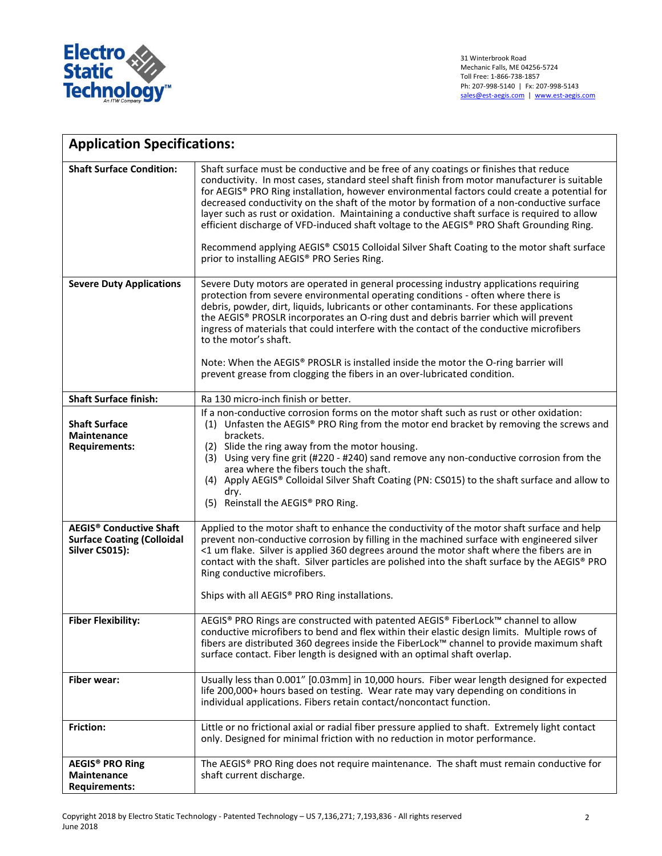

| <b>Application Specifications:</b>                                                               |                                                                                                                                                                                                                                                                                                                                                                                                                                                                                                                                                                                                                                                                                                                           |  |
|--------------------------------------------------------------------------------------------------|---------------------------------------------------------------------------------------------------------------------------------------------------------------------------------------------------------------------------------------------------------------------------------------------------------------------------------------------------------------------------------------------------------------------------------------------------------------------------------------------------------------------------------------------------------------------------------------------------------------------------------------------------------------------------------------------------------------------------|--|
| <b>Shaft Surface Condition:</b>                                                                  | Shaft surface must be conductive and be free of any coatings or finishes that reduce<br>conductivity. In most cases, standard steel shaft finish from motor manufacturer is suitable<br>for AEGIS® PRO Ring installation, however environmental factors could create a potential for<br>decreased conductivity on the shaft of the motor by formation of a non-conductive surface<br>layer such as rust or oxidation. Maintaining a conductive shaft surface is required to allow<br>efficient discharge of VFD-induced shaft voltage to the AEGIS® PRO Shaft Grounding Ring.<br>Recommend applying AEGIS® CS015 Colloidal Silver Shaft Coating to the motor shaft surface<br>prior to installing AEGIS® PRO Series Ring. |  |
| <b>Severe Duty Applications</b>                                                                  | Severe Duty motors are operated in general processing industry applications requiring<br>protection from severe environmental operating conditions - often where there is                                                                                                                                                                                                                                                                                                                                                                                                                                                                                                                                                 |  |
|                                                                                                  | debris, powder, dirt, liquids, lubricants or other contaminants. For these applications<br>the AEGIS® PROSLR incorporates an O-ring dust and debris barrier which will prevent<br>ingress of materials that could interfere with the contact of the conductive microfibers<br>to the motor's shaft.                                                                                                                                                                                                                                                                                                                                                                                                                       |  |
|                                                                                                  | Note: When the AEGIS® PROSLR is installed inside the motor the O-ring barrier will<br>prevent grease from clogging the fibers in an over-lubricated condition.                                                                                                                                                                                                                                                                                                                                                                                                                                                                                                                                                            |  |
| <b>Shaft Surface finish:</b>                                                                     | Ra 130 micro-inch finish or better.                                                                                                                                                                                                                                                                                                                                                                                                                                                                                                                                                                                                                                                                                       |  |
| <b>Shaft Surface</b><br><b>Maintenance</b><br><b>Requirements:</b>                               | If a non-conductive corrosion forms on the motor shaft such as rust or other oxidation:<br>(1) Unfasten the AEGIS® PRO Ring from the motor end bracket by removing the screws and<br>brackets.<br>(2) Slide the ring away from the motor housing.<br>(3) Using very fine grit (#220 - #240) sand remove any non-conductive corrosion from the<br>area where the fibers touch the shaft.<br>(4) Apply AEGIS® Colloidal Silver Shaft Coating (PN: CS015) to the shaft surface and allow to<br>dry.<br>(5) Reinstall the AEGIS® PRO Ring.                                                                                                                                                                                    |  |
| <b>AEGIS<sup>®</sup> Conductive Shaft</b><br><b>Surface Coating (Colloidal</b><br>Silver CS015): | Applied to the motor shaft to enhance the conductivity of the motor shaft surface and help<br>prevent non-conductive corrosion by filling in the machined surface with engineered silver<br><1 um flake. Silver is applied 360 degrees around the motor shaft where the fibers are in<br>contact with the shaft. Silver particles are polished into the shaft surface by the AEGIS® PRO<br>Ring conductive microfibers.<br>Ships with all AEGIS® PRO Ring installations.                                                                                                                                                                                                                                                  |  |
| <b>Fiber Flexibility:</b>                                                                        | AEGIS® PRO Rings are constructed with patented AEGIS® FiberLock™ channel to allow<br>conductive microfibers to bend and flex within their elastic design limits. Multiple rows of<br>fibers are distributed 360 degrees inside the FiberLock™ channel to provide maximum shaft<br>surface contact. Fiber length is designed with an optimal shaft overlap.                                                                                                                                                                                                                                                                                                                                                                |  |
| <b>Fiber wear:</b>                                                                               | Usually less than 0.001" [0.03mm] in 10,000 hours. Fiber wear length designed for expected<br>life 200,000+ hours based on testing. Wear rate may vary depending on conditions in<br>individual applications. Fibers retain contact/noncontact function.                                                                                                                                                                                                                                                                                                                                                                                                                                                                  |  |
| <b>Friction:</b>                                                                                 | Little or no frictional axial or radial fiber pressure applied to shaft. Extremely light contact<br>only. Designed for minimal friction with no reduction in motor performance.                                                                                                                                                                                                                                                                                                                                                                                                                                                                                                                                           |  |
| <b>AEGIS® PRO Ring</b><br><b>Maintenance</b><br><b>Requirements:</b>                             | The AEGIS® PRO Ring does not require maintenance. The shaft must remain conductive for<br>shaft current discharge.                                                                                                                                                                                                                                                                                                                                                                                                                                                                                                                                                                                                        |  |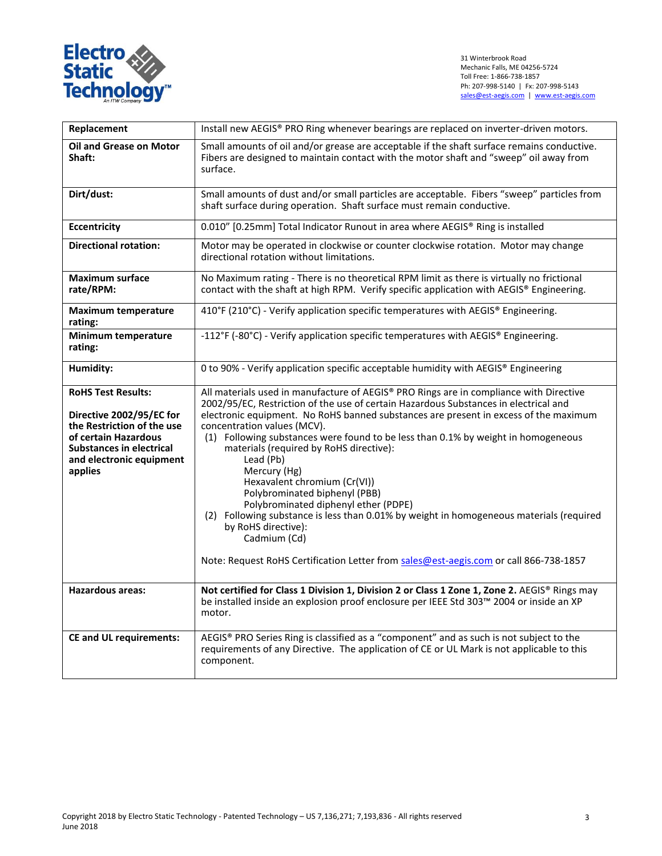

| Replacement                                                                                                                                                                           | Install new AEGIS® PRO Ring whenever bearings are replaced on inverter-driven motors.                                                                                                                                                                                                                                                                                                                                                                                                                                                                                                                                                                                                                                                                                                                  |  |  |
|---------------------------------------------------------------------------------------------------------------------------------------------------------------------------------------|--------------------------------------------------------------------------------------------------------------------------------------------------------------------------------------------------------------------------------------------------------------------------------------------------------------------------------------------------------------------------------------------------------------------------------------------------------------------------------------------------------------------------------------------------------------------------------------------------------------------------------------------------------------------------------------------------------------------------------------------------------------------------------------------------------|--|--|
| <b>Oil and Grease on Motor</b><br>Shaft:                                                                                                                                              | Small amounts of oil and/or grease are acceptable if the shaft surface remains conductive.<br>Fibers are designed to maintain contact with the motor shaft and "sweep" oil away from<br>surface.                                                                                                                                                                                                                                                                                                                                                                                                                                                                                                                                                                                                       |  |  |
| Dirt/dust:                                                                                                                                                                            | Small amounts of dust and/or small particles are acceptable. Fibers "sweep" particles from<br>shaft surface during operation. Shaft surface must remain conductive.                                                                                                                                                                                                                                                                                                                                                                                                                                                                                                                                                                                                                                    |  |  |
| <b>Eccentricity</b>                                                                                                                                                                   | 0.010" [0.25mm] Total Indicator Runout in area where AEGIS® Ring is installed                                                                                                                                                                                                                                                                                                                                                                                                                                                                                                                                                                                                                                                                                                                          |  |  |
| <b>Directional rotation:</b>                                                                                                                                                          | Motor may be operated in clockwise or counter clockwise rotation. Motor may change<br>directional rotation without limitations.                                                                                                                                                                                                                                                                                                                                                                                                                                                                                                                                                                                                                                                                        |  |  |
| <b>Maximum surface</b><br>rate/RPM:                                                                                                                                                   | No Maximum rating - There is no theoretical RPM limit as there is virtually no frictional<br>contact with the shaft at high RPM. Verify specific application with AEGIS® Engineering.                                                                                                                                                                                                                                                                                                                                                                                                                                                                                                                                                                                                                  |  |  |
| <b>Maximum temperature</b><br>rating:                                                                                                                                                 | 410°F (210°C) - Verify application specific temperatures with AEGIS® Engineering.                                                                                                                                                                                                                                                                                                                                                                                                                                                                                                                                                                                                                                                                                                                      |  |  |
| Minimum temperature<br>rating:                                                                                                                                                        | -112°F (-80°C) - Verify application specific temperatures with AEGIS® Engineering.                                                                                                                                                                                                                                                                                                                                                                                                                                                                                                                                                                                                                                                                                                                     |  |  |
| Humidity:                                                                                                                                                                             | 0 to 90% - Verify application specific acceptable humidity with AEGIS® Engineering                                                                                                                                                                                                                                                                                                                                                                                                                                                                                                                                                                                                                                                                                                                     |  |  |
| <b>RoHS Test Results:</b><br>Directive 2002/95/EC for<br>the Restriction of the use<br>of certain Hazardous<br><b>Substances in electrical</b><br>and electronic equipment<br>applies | All materials used in manufacture of AEGIS® PRO Rings are in compliance with Directive<br>2002/95/EC, Restriction of the use of certain Hazardous Substances in electrical and<br>electronic equipment. No RoHS banned substances are present in excess of the maximum<br>concentration values (MCV).<br>(1) Following substances were found to be less than 0.1% by weight in homogeneous<br>materials (required by RoHS directive):<br>Lead (Pb)<br>Mercury (Hg)<br>Hexavalent chromium (Cr(VI))<br>Polybrominated biphenyl (PBB)<br>Polybrominated diphenyl ether (PDPE)<br>(2) Following substance is less than 0.01% by weight in homogeneous materials (required<br>by RoHS directive):<br>Cadmium (Cd)<br>Note: Request RoHS Certification Letter from sales@est-aegis.com or call 866-738-1857 |  |  |
| Hazardous areas:                                                                                                                                                                      | Not certified for Class 1 Division 1, Division 2 or Class 1 Zone 1, Zone 2. AEGIS® Rings may<br>be installed inside an explosion proof enclosure per IEEE Std 303™ 2004 or inside an XP<br>motor.                                                                                                                                                                                                                                                                                                                                                                                                                                                                                                                                                                                                      |  |  |
| <b>CE and UL requirements:</b>                                                                                                                                                        | AEGIS® PRO Series Ring is classified as a "component" and as such is not subject to the<br>requirements of any Directive. The application of CE or UL Mark is not applicable to this<br>component.                                                                                                                                                                                                                                                                                                                                                                                                                                                                                                                                                                                                     |  |  |